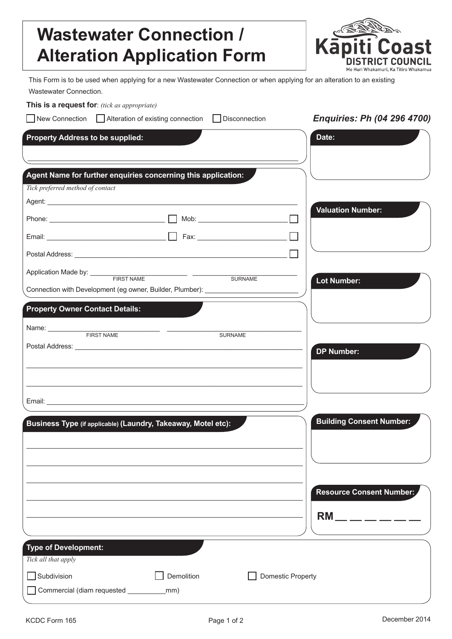## **Wastewater Connection / Alteration Application Form**



This Form is to be used when applying for a new Wastewater Connection or when applying for an alteration to an existing Wastewater Connection.

**This is a request for**: *(tick as appropriate) Enquiries: Ph (04 296 4700)*  New Connection Alteration of existing connection Disconnection **Property Address to be supplied: Date: Agent Name for further enquiries concerning this application:** *Tick preferred method of contact* Agent: \_\_\_\_\_\_\_\_\_\_\_\_\_\_\_\_\_\_\_\_\_\_\_\_\_\_\_\_\_\_\_\_\_\_\_\_\_\_\_\_\_\_\_\_\_\_\_\_\_\_\_\_\_\_\_\_\_\_\_\_\_\_\_\_\_\_\_ **Valuation Number:** Phone: \_\_\_\_\_\_\_\_\_\_\_\_\_\_\_\_\_\_\_\_\_\_\_\_\_\_\_\_\_\_\_ Mob: \_\_\_\_\_\_\_\_\_\_\_\_\_\_\_\_\_\_\_\_\_\_\_\_  $\Box$ Email: \_\_\_\_\_\_\_\_\_\_\_\_\_\_\_\_\_\_\_\_\_\_\_\_\_\_\_\_\_\_\_\_ Fax: \_\_\_\_\_\_\_\_\_\_\_\_\_\_\_\_\_\_\_\_\_\_\_\_ Postal Address: **with a set of the set of the set of the set of the set of the set of the set of the set of the set of the set of the set of the set of the set of the set of the set of the set of the set of the set of the** Application Made by: \_\_\_\_\_\_\_\_\_\_\_\_\_\_\_\_\_\_\_\_\_\_\_\_\_\_ \_\_\_\_\_\_\_\_\_\_\_\_\_\_\_\_\_\_\_\_\_\_\_\_\_\_\_\_ SURNAME **Lot Number:** Connection with Development (eg owner, Builder, Plumber): **Property Owner Contact Details:** Name: \_\_\_\_\_\_\_\_\_\_\_\_\_\_\_\_\_\_\_\_\_\_\_\_\_\_\_\_\_\_ \_\_\_\_\_\_\_\_\_\_\_\_\_\_\_\_\_\_\_\_\_\_\_\_\_\_\_\_\_\_\_\_\_\_\_\_ FIRST NAME SURNAME Postal Address: **DP Number:** \_\_\_\_\_\_\_\_\_\_\_\_\_\_\_\_\_\_\_\_\_\_\_\_\_\_\_\_\_\_\_\_\_\_\_\_\_\_\_\_\_\_\_\_\_\_\_\_\_\_\_\_\_\_\_\_\_\_\_\_\_\_\_\_\_\_\_\_\_\_\_\_\_\_  $\_$  . The contribution of the contribution of the contribution of the contribution of the contribution of the contribution of  $\mathcal{L}_\text{max}$ Email: \_\_\_\_\_\_\_\_\_\_\_\_\_\_\_\_\_\_\_\_\_\_\_\_\_\_\_\_\_\_\_\_\_\_\_\_\_\_\_\_\_\_\_\_\_\_\_\_\_\_\_\_\_\_\_\_\_\_\_\_\_\_\_\_\_\_\_\_\_ **Building Consent Number: Business Type (if applicable) (Laundry, Takeaway, Motel etc): Resource Consent Number: RM** \_\_ \_ \_ \_ \_ \_ **Type of Development:***Tick all that apply* **Subdivision** Demolition Demolition **Demolition** Domestic Property Commercial (diam requested \_\_\_\_\_\_\_\_\_\_mm)